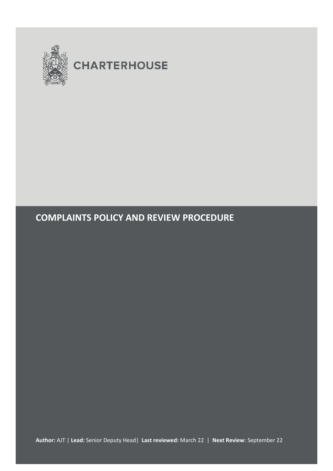

# **COMPLAINTS POLICY AND REVIEW PROCEDURE**

**Author:** AJT | **Lead:** Senior Deputy Head| **Last reviewed:** March 22 | **Next Review**: September 22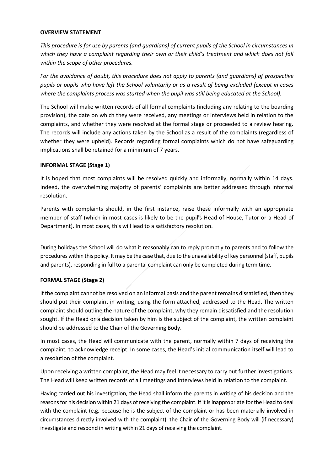#### **OVERVIEW STATEMENT**

*This procedure is for use by parents (and guardians) of current pupils of the School in circumstances in which they have a complaint regarding their own or their child's treatment and which does not fall within the scope of other procedures.* 

*For the avoidance of doubt, this procedure does not apply to parents (and guardians) of prospective pupils or pupils who have left the School voluntarily or as a result of being excluded (except in cases where the complaints process was started when the pupil was still being educated at the School).*

The School will make written records of all formal complaints (including any relating to the boarding provision), the date on which they were received, any meetings or interviews held in relation to the complaints, and whether they were resolved at the formal stage or proceeded to a review hearing. The records will include any actions taken by the School as a result of the complaints (regardless of whether they were upheld). Records regarding formal complaints which do not have safeguarding implications shall be retained for a minimum of 7 years.

## **INFORMAL STAGE (Stage 1)**

It is hoped that most complaints will be resolved quickly and informally, normally within 14 days. Indeed, the overwhelming majority of parents' complaints are better addressed through informal resolution.

Parents with complaints should, in the first instance, raise these informally with an appropriate member of staff (which in most cases is likely to be the pupil's Head of House, Tutor or a Head of Department). In most cases, this will lead to a satisfactory resolution.

During holidays the School will do what it reasonably can to reply promptly to parents and to follow the procedures within this policy. It may be the case that, due to the unavailability of key personnel (staff, pupils and parents), responding in full to a parental complaint can only be completed during term time.

#### **FORMAL STAGE (Stage 2)**

If the complaint cannot be resolved on an informal basis and the parent remains dissatisfied, then they should put their complaint in writing, using the form attached, addressed to the Head. The written complaint should outline the nature of the complaint, why they remain dissatisfied and the resolution sought. If the Head or a decision taken by him is the subject of the complaint, the written complaint should be addressed to the Chair of the Governing Body.

In most cases, the Head will communicate with the parent, normally within 7 days of receiving the complaint, to acknowledge receipt. In some cases, the Head's initial communication itself will lead to a resolution of the complaint.

Upon receiving a written complaint, the Head may feel it necessary to carry out further investigations. The Head will keep written records of all meetings and interviews held in relation to the complaint.

Having carried out his investigation, the Head shall inform the parents in writing of his decision and the reasons for his decision within 21 days of receiving the complaint. If it is inappropriate for the Head to deal with the complaint (e.g. because he is the subject of the complaint or has been materially involved in circumstances directly involved with the complaint), the Chair of the Governing Body will (if necessary) investigate and respond in writing within 21 days of receiving the complaint.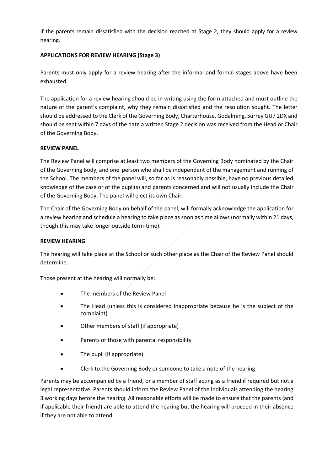If the parents remain dissatisfied with the decision reached at Stage 2, they should apply for a review hearing.

# **APPLICATIONS FOR REVIEW HEARING (Stage 3)**

Parents must only apply for a review hearing after the informal and formal stages above have been exhausted.

The application for a review hearing should be in writing using the form attached and must outline the nature of the parent's complaint, why they remain dissatisfied and the resolution sought. The letter should be addressed to the Clerk of the Governing Body, Charterhouse, Godalming, Surrey GU7 2DX and should be sent within 7 days of the date a written Stage 2 decision was received from the Head or Chair of the Governing Body.

#### **REVIEW PANEL**

The Review Panel will comprise at least two members of the Governing Body nominated by the Chair of the Governing Body, and one person who shall be independent of the management and running of the School. The members of the panel will, so far as is reasonably possible, have no previous detailed knowledge of the case or of the pupil(s) and parents concerned and will not usually include the Chair of the Governing Body. The panel will elect its own Chair.

The Chair of the Governing Body on behalf of the panel, will formally acknowledge the application for a review hearing and schedule a hearing to take place as soon as time allows (normally within 21 days, though this may take longer outside term-time).

#### **REVIEW HEARING**

The hearing will take place at the School or such other place as the Chair of the Review Panel should determine.

Those present at the hearing will normally be:

- The members of the Review Panel
- The Head (unless this is considered inappropriate because he is the subject of the complaint)
- Other members of staff (if appropriate)
- Parents or those with parental responsibility
- The pupil (if appropriate)
- Clerk to the Governing Body or someone to take a note of the hearing

Parents may be accompanied by a friend, or a member of staff acting as a friend if required but not a legal representative. Parents should inform the Review Panel of the individuals attending the hearing 3 working days before the hearing. All reasonable efforts will be made to ensure that the parents (and if applicable their friend) are able to attend the hearing but the hearing will proceed in their absence if they are not able to attend.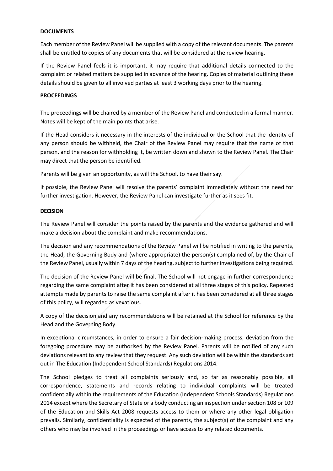#### **DOCUMENTS**

Each member of the Review Panel will be supplied with a copy of the relevant documents. The parents shall be entitled to copies of any documents that will be considered at the review hearing.

If the Review Panel feels it is important, it may require that additional details connected to the complaint or related matters be supplied in advance of the hearing. Copies of material outlining these details should be given to all involved parties at least 3 working days prior to the hearing.

#### **PROCEEDINGS**

The proceedings will be chaired by a member of the Review Panel and conducted in a formal manner. Notes will be kept of the main points that arise.

If the Head considers it necessary in the interests of the individual or the School that the identity of any person should be withheld, the Chair of the Review Panel may require that the name of that person, and the reason for withholding it, be written down and shown to the Review Panel. The Chair may direct that the person be identified.

Parents will be given an opportunity, as will the School, to have their say.

If possible, the Review Panel will resolve the parents' complaint immediately without the need for further investigation. However, the Review Panel can investigate further as it sees fit.

#### **DECISION**

The Review Panel will consider the points raised by the parents and the evidence gathered and will make a decision about the complaint and make recommendations.

The decision and any recommendations of the Review Panel will be notified in writing to the parents, the Head, the Governing Body and (where appropriate) the person(s) complained of, by the Chair of the Review Panel, usually within 7 days of the hearing, subject to further investigations being required.

The decision of the Review Panel will be final. The School will not engage in further correspondence regarding the same complaint after it has been considered at all three stages of this policy. Repeated attempts made by parents to raise the same complaint after it has been considered at all three stages of this policy, will regarded as vexatious.

A copy of the decision and any recommendations will be retained at the School for reference by the Head and the Governing Body.

In exceptional circumstances, in order to ensure a fair decision-making process, deviation from the foregoing procedure may be authorised by the Review Panel. Parents will be notified of any such deviations relevant to any review that they request. Any such deviation will be within the standards set out in The Education (Independent School Standards) Regulations 2014.

The School pledges to treat all complaints seriously and, so far as reasonably possible, all correspondence, statements and records relating to individual complaints will be treated confidentially within the requirements of the Education (Independent Schools Standards) Regulations 2014 except where the Secretary of State or a body conducting an inspection under section 108 or 109 of the Education and Skills Act 2008 requests access to them or where any other legal obligation prevails. Similarly, confidentiality is expected of the parents, the subject(s) of the complaint and any others who may be involved in the proceedings or have access to any related documents.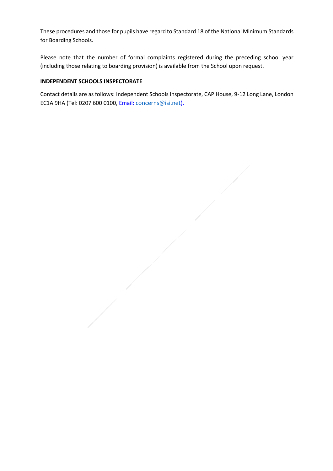These procedures and those for pupils have regard to Standard 18 of the National Minimum Standards for Boarding Schools.

Please note that the number of formal complaints registered during the preceding school year (including those relating to boarding provision) is available from the School upon request.

## **INDEPENDENT SCHOOLS INSPECTORATE**

Contact details are as follows: Independent Schools Inspectorate, CAP House, 9-12 Long Lane, London EC1A 9HA (Tel: 0207 600 0100[, Email:](about:blank) [concerns@isi.net](about:blank)).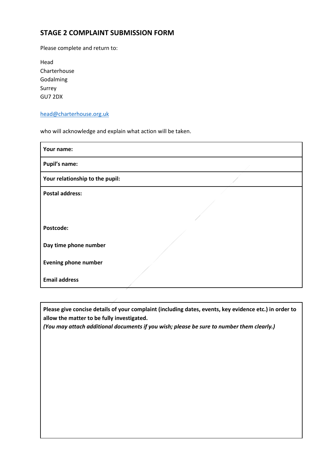# **STAGE 2 COMPLAINT SUBMISSION FORM**

Please complete and return to:

| Head         |  |
|--------------|--|
| Charterhouse |  |
| Godalming    |  |
| Surrey       |  |
| GU7 2DX      |  |

## [head@charterhouse.org.uk](mailto:head@charterhouse.org.uk)

who will acknowledge and explain what action will be taken.

| Your name:                      |  |
|---------------------------------|--|
| <b>Pupil's name:</b>            |  |
| Your relationship to the pupil: |  |
| <b>Postal address:</b>          |  |
|                                 |  |
| Postcode:                       |  |
| Day time phone number           |  |
| <b>Evening phone number</b>     |  |
| <b>Email address</b>            |  |

**Please give concise details of your complaint (including dates, events, key evidence etc.) in order to allow the matter to be fully investigated.**

*(You may attach additional documents if you wish; please be sure to number them clearly.)*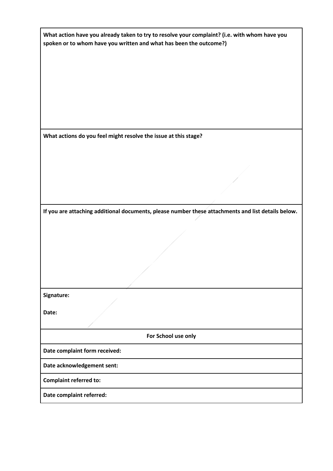| What action have you already taken to try to resolve your complaint? (i.e. with whom have you |
|-----------------------------------------------------------------------------------------------|
| spoken or to whom have you written and what has been the outcome?)                            |

**What actions do you feel might resolve the issue at this stage?**

**If you are attaching additional documents, please number these attachments and list details below.**

**Signature:**

**Date:**

**For School use only**

**Date complaint form received:**

**Date acknowledgement sent:**

**Complaint referred to:**

**Date complaint referred:**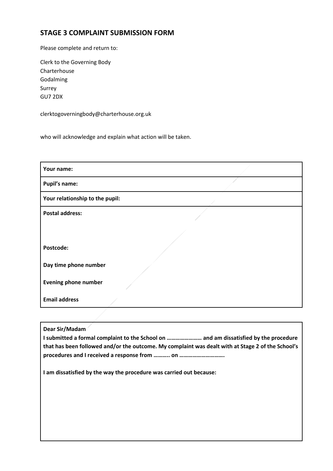# **STAGE 3 COMPLAINT SUBMISSION FORM**

Please complete and return to:

Clerk to the Governing Body Charterhouse Godalming Surrey GU7 2DX

clerktogoverningbody@charterhouse.org.uk

who will acknowledge and explain what action will be taken.

| Your name:                      |  |  |
|---------------------------------|--|--|
| <b>Pupil's name:</b>            |  |  |
| Your relationship to the pupil: |  |  |
| <b>Postal address:</b>          |  |  |
|                                 |  |  |
| Postcode:                       |  |  |
| Day time phone number           |  |  |
| <b>Evening phone number</b>     |  |  |
| <b>Email address</b>            |  |  |

**Dear Sir/Madam**

**I submitted a formal complaint to the School on …………………… and am dissatisfied by the procedure that has been followed and/or the outcome. My complaint was dealt with at Stage 2 of the School's procedures and I received a response from ……….. on ………………………….**

**I am dissatisfied by the way the procedure was carried out because:**